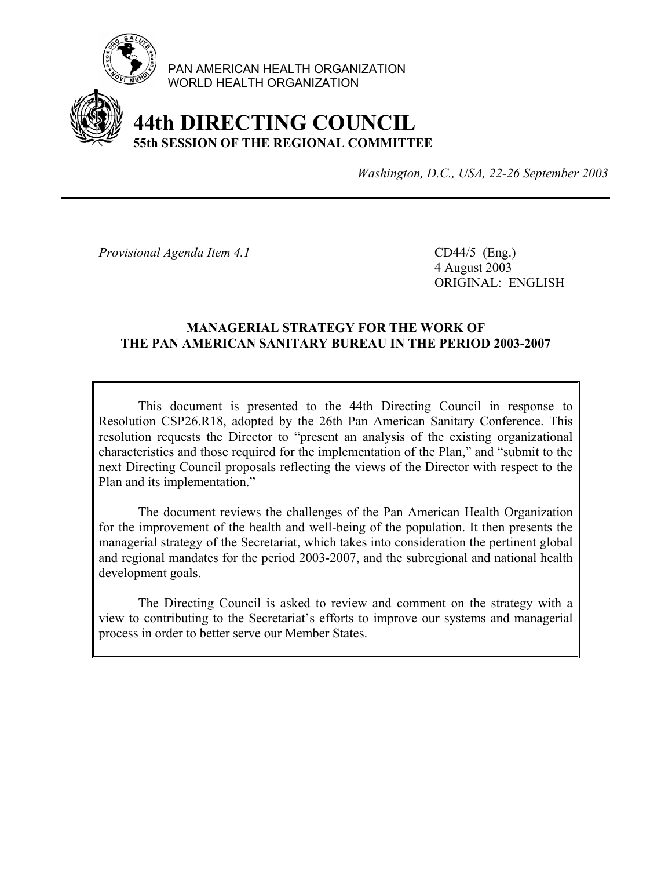

PAN AMERICAN HEALTH ORGANIZATION WORLD HEALTH ORGANIZATION

# **44th DIRECTING COUNCIL 55th SESSION OF THE REGIONAL COMMITTEE**

*Washington, D.C., USA, 22-26 September 2003*

*Provisional Agenda Item 4.1* CD44/5 (Eng.)

 4 August 2003 ORIGINAL: ENGLISH

#### **MANAGERIAL STRATEGY FOR THE WORK OF THE PAN AMERICAN SANITARY BUREAU IN THE PERIOD 2003-2007**

 This document is presented to the 44th Directing Council in response to Resolution CSP26.R18, adopted by the 26th Pan American Sanitary Conference. This resolution requests the Director to "present an analysis of the existing organizational characteristics and those required for the implementation of the Plan," and "submit to the next Directing Council proposals reflecting the views of the Director with respect to the Plan and its implementation."

 The document reviews the challenges of the Pan American Health Organization for the improvement of the health and well-being of the population. It then presents the managerial strategy of the Secretariat, which takes into consideration the pertinent global and regional mandates for the period 2003-2007, and the subregional and national health development goals.

 The Directing Council is asked to review and comment on the strategy with a view to contributing to the Secretariat's efforts to improve our systems and managerial process in order to better serve our Member States.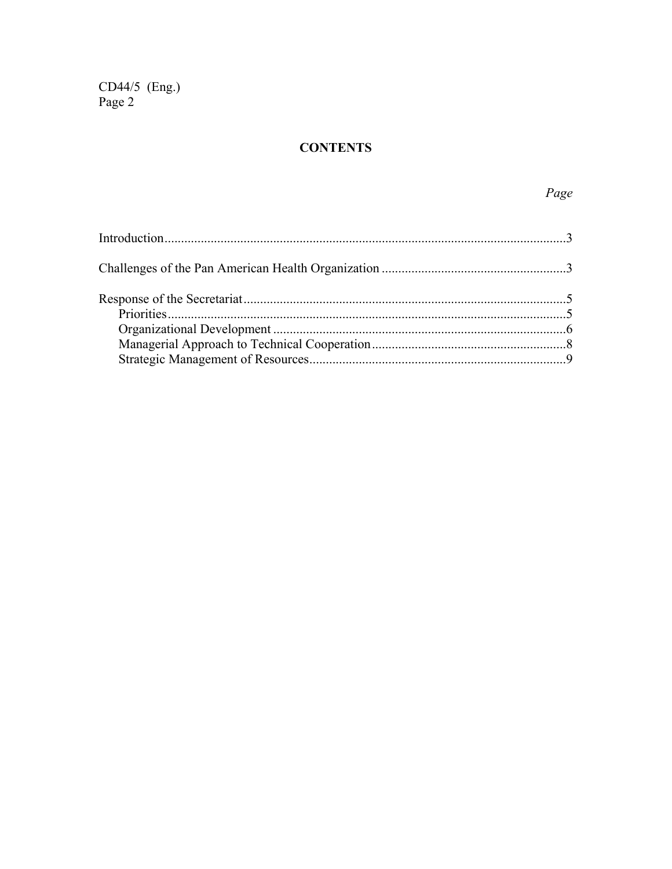CD44/5 (Eng.)<br>Page 2

### **CONTENTS**

## $Page$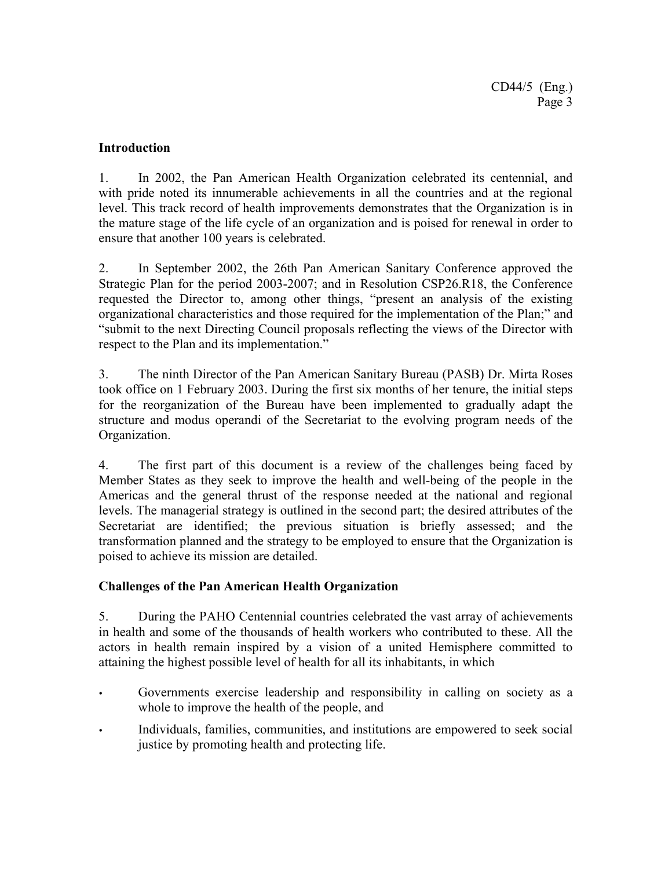#### **Introduction**

1. In 2002, the Pan American Health Organization celebrated its centennial, and with pride noted its innumerable achievements in all the countries and at the regional level. This track record of health improvements demonstrates that the Organization is in the mature stage of the life cycle of an organization and is poised for renewal in order to ensure that another 100 years is celebrated.

2. In September 2002, the 26th Pan American Sanitary Conference approved the Strategic Plan for the period 2003-2007; and in Resolution CSP26.R18, the Conference requested the Director to, among other things, "present an analysis of the existing organizational characteristics and those required for the implementation of the Plan;" and "submit to the next Directing Council proposals reflecting the views of the Director with respect to the Plan and its implementation."

3. The ninth Director of the Pan American Sanitary Bureau (PASB) Dr. Mirta Roses took office on 1 February 2003. During the first six months of her tenure, the initial steps for the reorganization of the Bureau have been implemented to gradually adapt the structure and modus operandi of the Secretariat to the evolving program needs of the Organization.

4. The first part of this document is a review of the challenges being faced by Member States as they seek to improve the health and well-being of the people in the Americas and the general thrust of the response needed at the national and regional levels. The managerial strategy is outlined in the second part; the desired attributes of the Secretariat are identified; the previous situation is briefly assessed; and the transformation planned and the strategy to be employed to ensure that the Organization is poised to achieve its mission are detailed.

#### **Challenges of the Pan American Health Organization**

5. During the PAHO Centennial countries celebrated the vast array of achievements in health and some of the thousands of health workers who contributed to these. All the actors in health remain inspired by a vision of a united Hemisphere committed to attaining the highest possible level of health for all its inhabitants, in which

- Governments exercise leadership and responsibility in calling on society as a whole to improve the health of the people, and
- Individuals, families, communities, and institutions are empowered to seek social justice by promoting health and protecting life.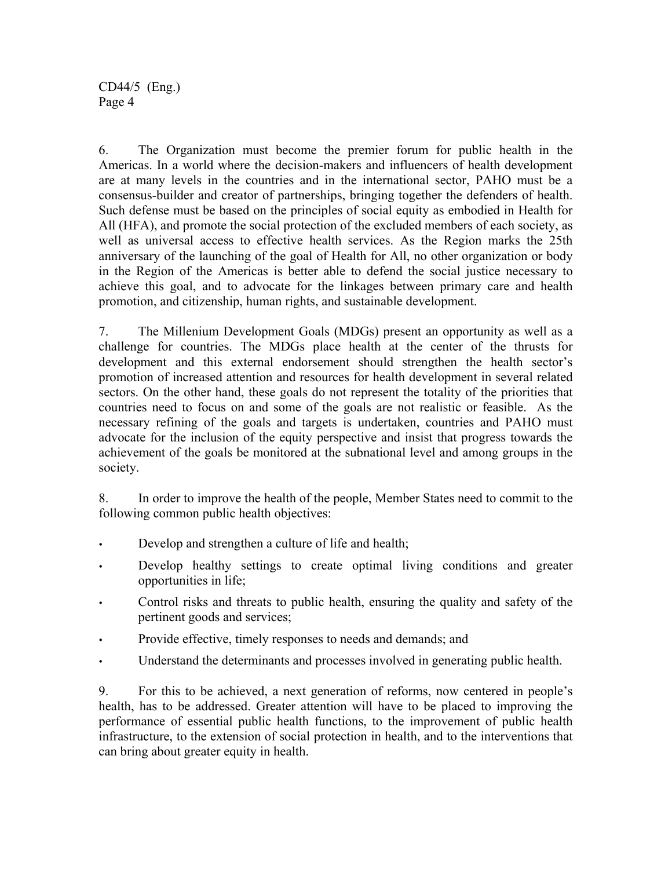6. The Organization must become the premier forum for public health in the Americas. In a world where the decision-makers and influencers of health development are at many levels in the countries and in the international sector, PAHO must be a consensus-builder and creator of partnerships, bringing together the defenders of health. Such defense must be based on the principles of social equity as embodied in Health for All (HFA), and promote the social protection of the excluded members of each society, as well as universal access to effective health services. As the Region marks the 25th anniversary of the launching of the goal of Health for All, no other organization or body in the Region of the Americas is better able to defend the social justice necessary to achieve this goal, and to advocate for the linkages between primary care and health promotion, and citizenship, human rights, and sustainable development.

7. The Millenium Development Goals (MDGs) present an opportunity as well as a challenge for countries. The MDGs place health at the center of the thrusts for development and this external endorsement should strengthen the health sector's promotion of increased attention and resources for health development in several related sectors. On the other hand, these goals do not represent the totality of the priorities that countries need to focus on and some of the goals are not realistic or feasible. As the necessary refining of the goals and targets is undertaken, countries and PAHO must advocate for the inclusion of the equity perspective and insist that progress towards the achievement of the goals be monitored at the subnational level and among groups in the society.

8. In order to improve the health of the people, Member States need to commit to the following common public health objectives:

- Develop and strengthen a culture of life and health;
- Develop healthy settings to create optimal living conditions and greater opportunities in life;
- Control risks and threats to public health, ensuring the quality and safety of the pertinent goods and services;
- Provide effective, timely responses to needs and demands; and
- Understand the determinants and processes involved in generating public health.

9. For this to be achieved, a next generation of reforms, now centered in people's health, has to be addressed. Greater attention will have to be placed to improving the performance of essential public health functions, to the improvement of public health infrastructure, to the extension of social protection in health, and to the interventions that can bring about greater equity in health.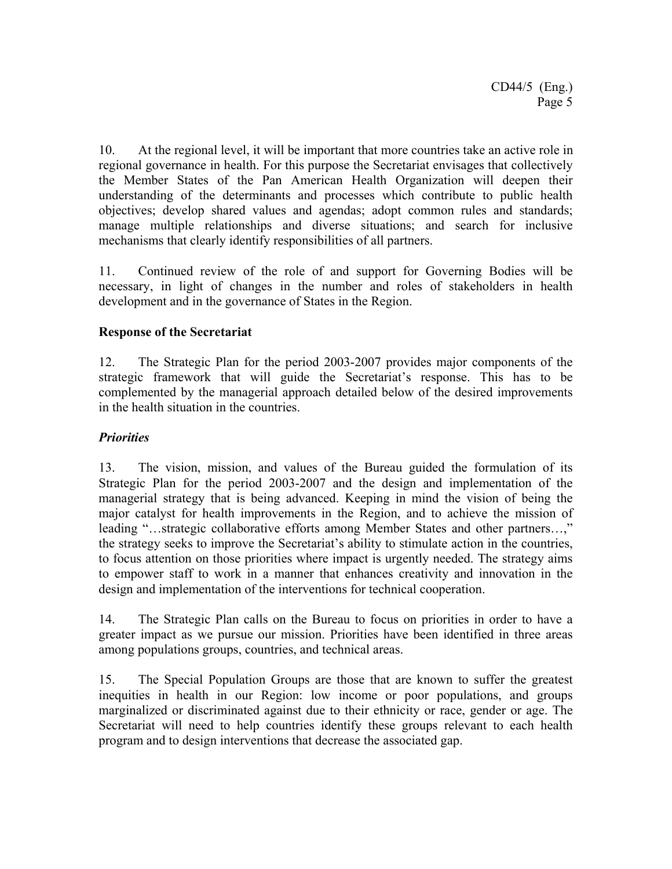10. At the regional level, it will be important that more countries take an active role in regional governance in health. For this purpose the Secretariat envisages that collectively the Member States of the Pan American Health Organization will deepen their understanding of the determinants and processes which contribute to public health objectives; develop shared values and agendas; adopt common rules and standards; manage multiple relationships and diverse situations; and search for inclusive mechanisms that clearly identify responsibilities of all partners.

11. Continued review of the role of and support for Governing Bodies will be necessary, in light of changes in the number and roles of stakeholders in health development and in the governance of States in the Region.

#### **Response of the Secretariat**

12. The Strategic Plan for the period 2003-2007 provides major components of the strategic framework that will guide the Secretariat's response. This has to be complemented by the managerial approach detailed below of the desired improvements in the health situation in the countries.

#### *Priorities*

13. The vision, mission, and values of the Bureau guided the formulation of its Strategic Plan for the period 2003-2007 and the design and implementation of the managerial strategy that is being advanced. Keeping in mind the vision of being the major catalyst for health improvements in the Region, and to achieve the mission of leading "…strategic collaborative efforts among Member States and other partners…," the strategy seeks to improve the Secretariat's ability to stimulate action in the countries, to focus attention on those priorities where impact is urgently needed. The strategy aims to empower staff to work in a manner that enhances creativity and innovation in the design and implementation of the interventions for technical cooperation.

14. The Strategic Plan calls on the Bureau to focus on priorities in order to have a greater impact as we pursue our mission. Priorities have been identified in three areas among populations groups, countries, and technical areas.

15. The Special Population Groups are those that are known to suffer the greatest inequities in health in our Region: low income or poor populations, and groups marginalized or discriminated against due to their ethnicity or race, gender or age. The Secretariat will need to help countries identify these groups relevant to each health program and to design interventions that decrease the associated gap.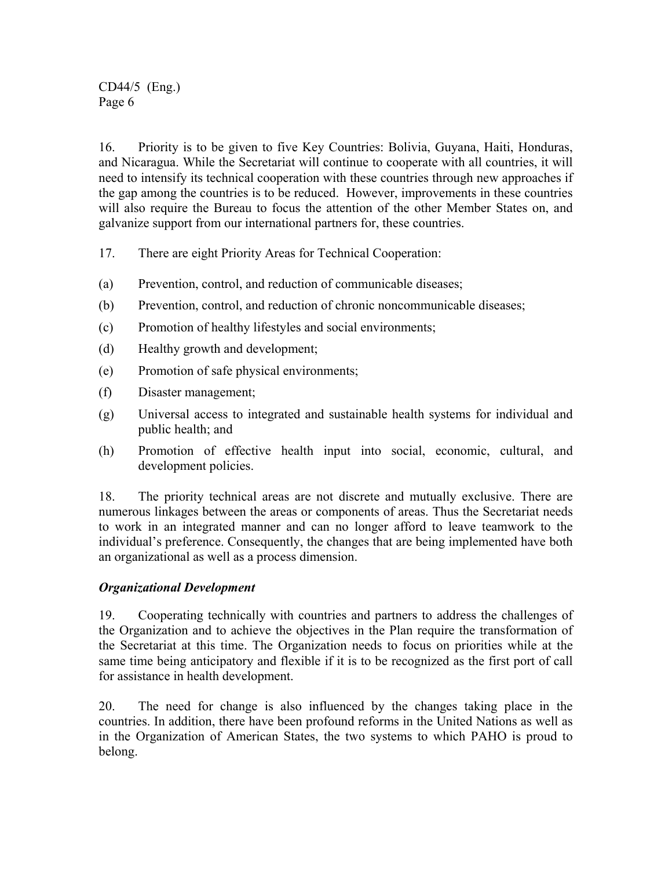16. Priority is to be given to five Key Countries: Bolivia, Guyana, Haiti, Honduras, and Nicaragua. While the Secretariat will continue to cooperate with all countries, it will need to intensify its technical cooperation with these countries through new approaches if the gap among the countries is to be reduced. However, improvements in these countries will also require the Bureau to focus the attention of the other Member States on, and galvanize support from our international partners for, these countries.

- 17. There are eight Priority Areas for Technical Cooperation:
- (a) Prevention, control, and reduction of communicable diseases;
- (b) Prevention, control, and reduction of chronic noncommunicable diseases;
- (c) Promotion of healthy lifestyles and social environments;
- (d) Healthy growth and development;
- (e) Promotion of safe physical environments;
- (f) Disaster management;
- (g) Universal access to integrated and sustainable health systems for individual and public health; and
- (h) Promotion of effective health input into social, economic, cultural, and development policies.

18. The priority technical areas are not discrete and mutually exclusive. There are numerous linkages between the areas or components of areas. Thus the Secretariat needs to work in an integrated manner and can no longer afford to leave teamwork to the individual's preference. Consequently, the changes that are being implemented have both an organizational as well as a process dimension.

#### *Organizational Development*

19. Cooperating technically with countries and partners to address the challenges of the Organization and to achieve the objectives in the Plan require the transformation of the Secretariat at this time. The Organization needs to focus on priorities while at the same time being anticipatory and flexible if it is to be recognized as the first port of call for assistance in health development.

20. The need for change is also influenced by the changes taking place in the countries. In addition, there have been profound reforms in the United Nations as well as in the Organization of American States, the two systems to which PAHO is proud to belong.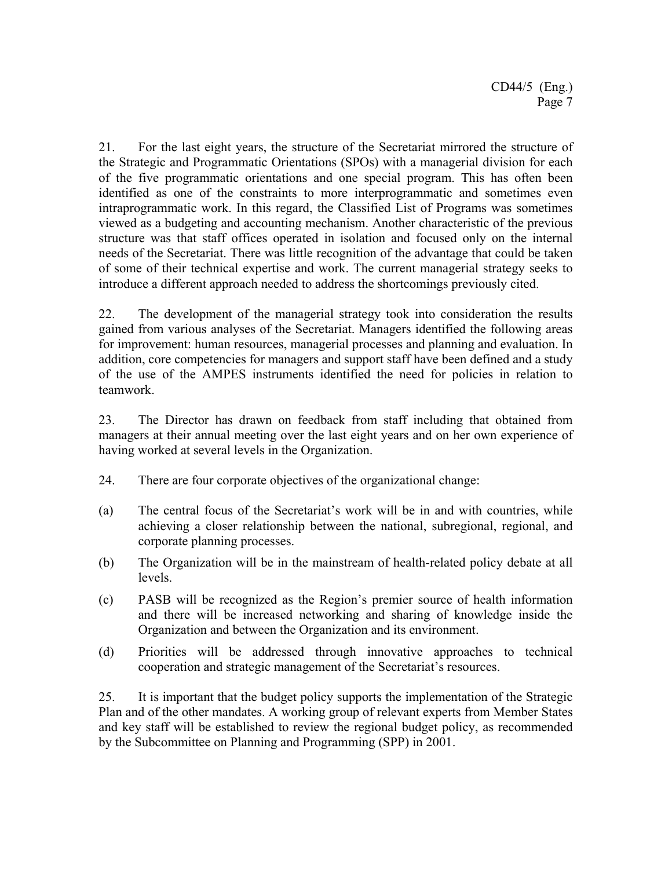21. For the last eight years, the structure of the Secretariat mirrored the structure of the Strategic and Programmatic Orientations (SPOs) with a managerial division for each of the five programmatic orientations and one special program. This has often been identified as one of the constraints to more interprogrammatic and sometimes even intraprogrammatic work. In this regard, the Classified List of Programs was sometimes viewed as a budgeting and accounting mechanism. Another characteristic of the previous structure was that staff offices operated in isolation and focused only on the internal needs of the Secretariat. There was little recognition of the advantage that could be taken of some of their technical expertise and work. The current managerial strategy seeks to introduce a different approach needed to address the shortcomings previously cited.

22. The development of the managerial strategy took into consideration the results gained from various analyses of the Secretariat. Managers identified the following areas for improvement: human resources, managerial processes and planning and evaluation. In addition, core competencies for managers and support staff have been defined and a study of the use of the AMPES instruments identified the need for policies in relation to teamwork.

23. The Director has drawn on feedback from staff including that obtained from managers at their annual meeting over the last eight years and on her own experience of having worked at several levels in the Organization.

- 24. There are four corporate objectives of the organizational change:
- (a) The central focus of the Secretariat's work will be in and with countries, while achieving a closer relationship between the national, subregional, regional, and corporate planning processes.
- (b) The Organization will be in the mainstream of health-related policy debate at all levels.
- (c) PASB will be recognized as the Region's premier source of health information and there will be increased networking and sharing of knowledge inside the Organization and between the Organization and its environment.
- (d) Priorities will be addressed through innovative approaches to technical cooperation and strategic management of the Secretariat's resources.

25. It is important that the budget policy supports the implementation of the Strategic Plan and of the other mandates. A working group of relevant experts from Member States and key staff will be established to review the regional budget policy, as recommended by the Subcommittee on Planning and Programming (SPP) in 2001.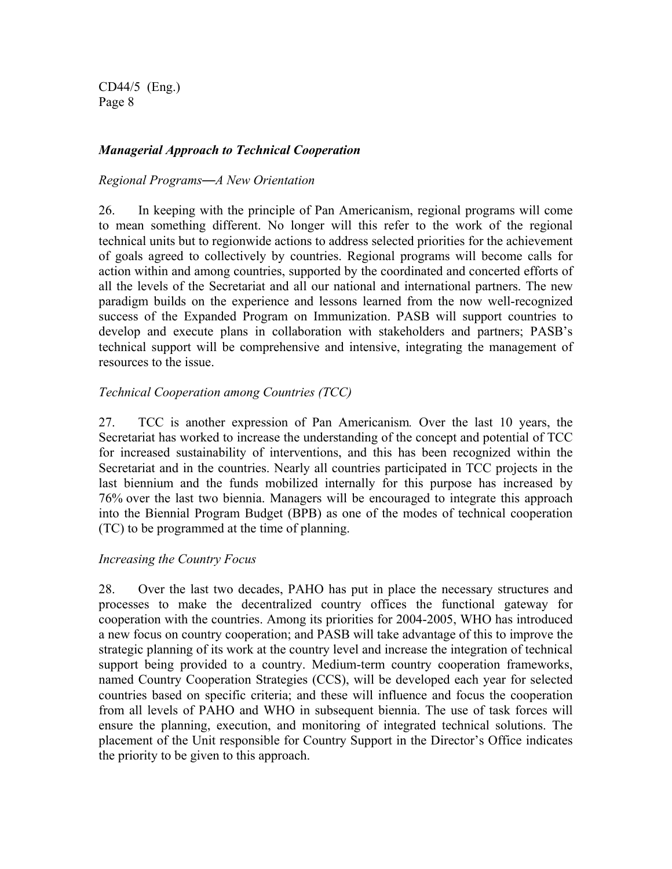#### *Managerial Approach to Technical Cooperation*

#### *Regional Programs*—*A New Orientation*

26. In keeping with the principle of Pan Americanism, regional programs will come to mean something different. No longer will this refer to the work of the regional technical units but to regionwide actions to address selected priorities for the achievement of goals agreed to collectively by countries. Regional programs will become calls for action within and among countries, supported by the coordinated and concerted efforts of all the levels of the Secretariat and all our national and international partners. The new paradigm builds on the experience and lessons learned from the now well-recognized success of the Expanded Program on Immunization. PASB will support countries to develop and execute plans in collaboration with stakeholders and partners; PASB's technical support will be comprehensive and intensive, integrating the management of resources to the issue.

#### *Technical Cooperation among Countries (TCC)*

27. TCC is another expression of Pan Americanism*.* Over the last 10 years, the Secretariat has worked to increase the understanding of the concept and potential of TCC for increased sustainability of interventions, and this has been recognized within the Secretariat and in the countries. Nearly all countries participated in TCC projects in the last biennium and the funds mobilized internally for this purpose has increased by 76% over the last two biennia. Managers will be encouraged to integrate this approach into the Biennial Program Budget (BPB) as one of the modes of technical cooperation (TC) to be programmed at the time of planning.

#### *Increasing the Country Focus*

28. Over the last two decades, PAHO has put in place the necessary structures and processes to make the decentralized country offices the functional gateway for cooperation with the countries. Among its priorities for 2004-2005, WHO has introduced a new focus on country cooperation; and PASB will take advantage of this to improve the strategic planning of its work at the country level and increase the integration of technical support being provided to a country. Medium-term country cooperation frameworks, named Country Cooperation Strategies (CCS), will be developed each year for selected countries based on specific criteria; and these will influence and focus the cooperation from all levels of PAHO and WHO in subsequent biennia. The use of task forces will ensure the planning, execution, and monitoring of integrated technical solutions. The placement of the Unit responsible for Country Support in the Director's Office indicates the priority to be given to this approach.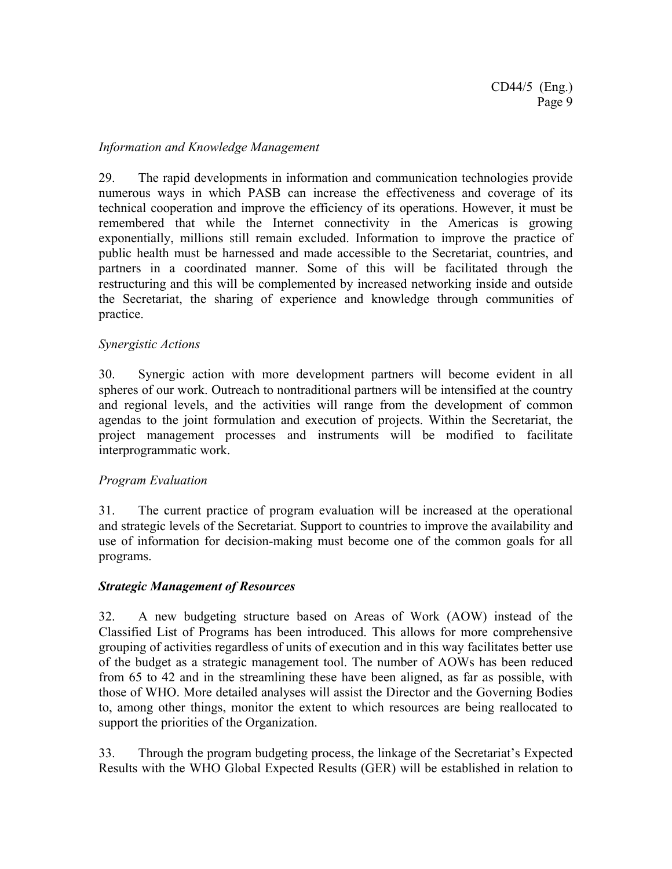#### *Information and Knowledge Management*

29. The rapid developments in information and communication technologies provide numerous ways in which PASB can increase the effectiveness and coverage of its technical cooperation and improve the efficiency of its operations. However, it must be remembered that while the Internet connectivity in the Americas is growing exponentially, millions still remain excluded. Information to improve the practice of public health must be harnessed and made accessible to the Secretariat, countries, and partners in a coordinated manner. Some of this will be facilitated through the restructuring and this will be complemented by increased networking inside and outside the Secretariat, the sharing of experience and knowledge through communities of practice.

#### *Synergistic Actions*

30. Synergic action with more development partners will become evident in all spheres of our work. Outreach to nontraditional partners will be intensified at the country and regional levels, and the activities will range from the development of common agendas to the joint formulation and execution of projects. Within the Secretariat, the project management processes and instruments will be modified to facilitate interprogrammatic work.

#### *Program Evaluation*

31. The current practice of program evaluation will be increased at the operational and strategic levels of the Secretariat. Support to countries to improve the availability and use of information for decision-making must become one of the common goals for all programs.

#### *Strategic Management of Resources*

32. A new budgeting structure based on Areas of Work (AOW) instead of the Classified List of Programs has been introduced. This allows for more comprehensive grouping of activities regardless of units of execution and in this way facilitates better use of the budget as a strategic management tool. The number of AOWs has been reduced from 65 to 42 and in the streamlining these have been aligned, as far as possible, with those of WHO. More detailed analyses will assist the Director and the Governing Bodies to, among other things, monitor the extent to which resources are being reallocated to support the priorities of the Organization.

33. Through the program budgeting process, the linkage of the Secretariat's Expected Results with the WHO Global Expected Results (GER) will be established in relation to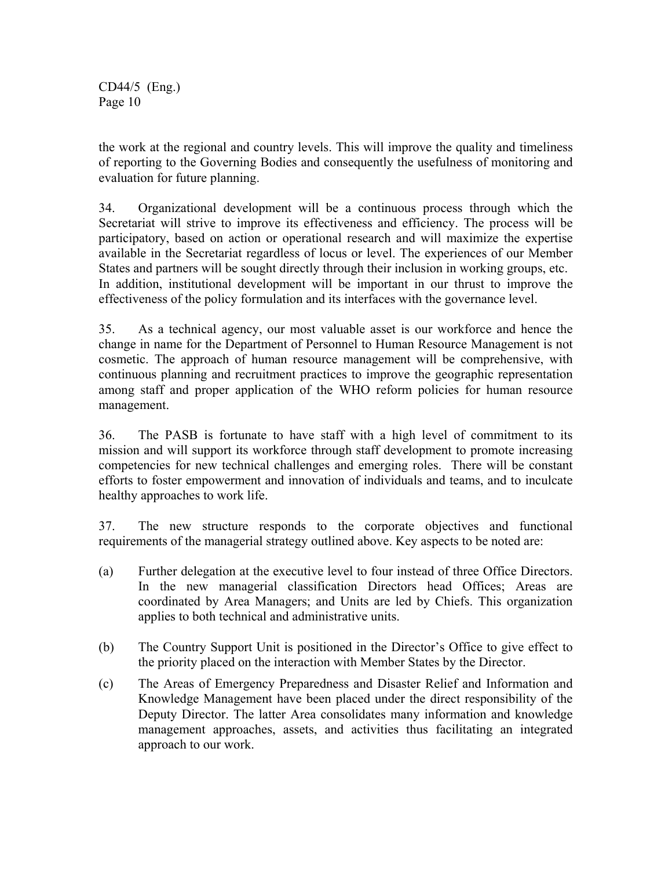the work at the regional and country levels. This will improve the quality and timeliness of reporting to the Governing Bodies and consequently the usefulness of monitoring and evaluation for future planning.

34. Organizational development will be a continuous process through which the Secretariat will strive to improve its effectiveness and efficiency. The process will be participatory, based on action or operational research and will maximize the expertise available in the Secretariat regardless of locus or level. The experiences of our Member States and partners will be sought directly through their inclusion in working groups, etc. In addition, institutional development will be important in our thrust to improve the effectiveness of the policy formulation and its interfaces with the governance level.

35. As a technical agency, our most valuable asset is our workforce and hence the change in name for the Department of Personnel to Human Resource Management is not cosmetic. The approach of human resource management will be comprehensive, with continuous planning and recruitment practices to improve the geographic representation among staff and proper application of the WHO reform policies for human resource management.

36. The PASB is fortunate to have staff with a high level of commitment to its mission and will support its workforce through staff development to promote increasing competencies for new technical challenges and emerging roles. There will be constant efforts to foster empowerment and innovation of individuals and teams, and to inculcate healthy approaches to work life.

37. The new structure responds to the corporate objectives and functional requirements of the managerial strategy outlined above. Key aspects to be noted are:

- (a) Further delegation at the executive level to four instead of three Office Directors. In the new managerial classification Directors head Offices; Areas are coordinated by Area Managers; and Units are led by Chiefs. This organization applies to both technical and administrative units.
- (b) The Country Support Unit is positioned in the Director's Office to give effect to the priority placed on the interaction with Member States by the Director.
- (c) The Areas of Emergency Preparedness and Disaster Relief and Information and Knowledge Management have been placed under the direct responsibility of the Deputy Director. The latter Area consolidates many information and knowledge management approaches, assets, and activities thus facilitating an integrated approach to our work.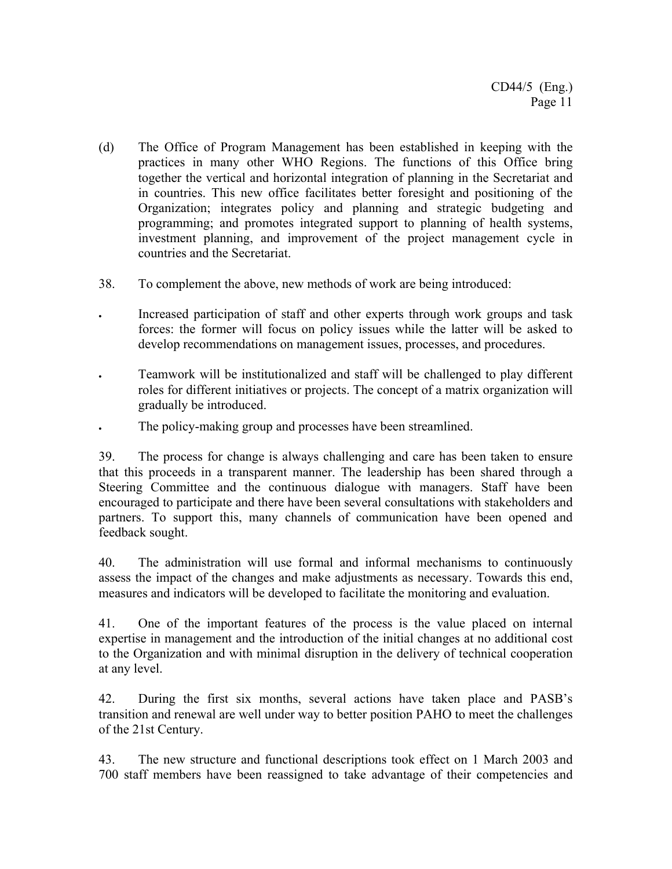- (d) The Office of Program Management has been established in keeping with the practices in many other WHO Regions. The functions of this Office bring together the vertical and horizontal integration of planning in the Secretariat and in countries. This new office facilitates better foresight and positioning of the Organization; integrates policy and planning and strategic budgeting and programming; and promotes integrated support to planning of health systems, investment planning, and improvement of the project management cycle in countries and the Secretariat.
- 38. To complement the above, new methods of work are being introduced:
- Increased participation of staff and other experts through work groups and task forces: the former will focus on policy issues while the latter will be asked to develop recommendations on management issues, processes, and procedures.
- Teamwork will be institutionalized and staff will be challenged to play different roles for different initiatives or projects. The concept of a matrix organization will gradually be introduced.
- The policy-making group and processes have been streamlined.

39. The process for change is always challenging and care has been taken to ensure that this proceeds in a transparent manner. The leadership has been shared through a Steering Committee and the continuous dialogue with managers. Staff have been encouraged to participate and there have been several consultations with stakeholders and partners. To support this, many channels of communication have been opened and feedback sought.

40. The administration will use formal and informal mechanisms to continuously assess the impact of the changes and make adjustments as necessary. Towards this end, measures and indicators will be developed to facilitate the monitoring and evaluation.

41. One of the important features of the process is the value placed on internal expertise in management and the introduction of the initial changes at no additional cost to the Organization and with minimal disruption in the delivery of technical cooperation at any level.

42. During the first six months, several actions have taken place and PASB's transition and renewal are well under way to better position PAHO to meet the challenges of the 21st Century.

43. The new structure and functional descriptions took effect on 1 March 2003 and 700 staff members have been reassigned to take advantage of their competencies and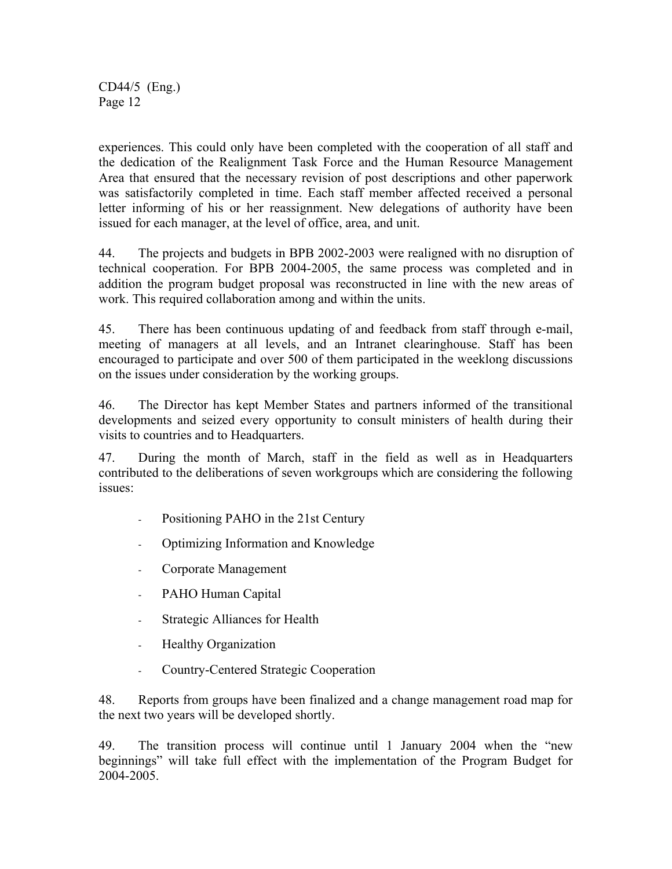experiences. This could only have been completed with the cooperation of all staff and the dedication of the Realignment Task Force and the Human Resource Management Area that ensured that the necessary revision of post descriptions and other paperwork was satisfactorily completed in time. Each staff member affected received a personal letter informing of his or her reassignment. New delegations of authority have been issued for each manager, at the level of office, area, and unit.

44. The projects and budgets in BPB 2002-2003 were realigned with no disruption of technical cooperation. For BPB 2004-2005, the same process was completed and in addition the program budget proposal was reconstructed in line with the new areas of work. This required collaboration among and within the units.

45. There has been continuous updating of and feedback from staff through e-mail, meeting of managers at all levels, and an Intranet clearinghouse. Staff has been encouraged to participate and over 500 of them participated in the weeklong discussions on the issues under consideration by the working groups.

46. The Director has kept Member States and partners informed of the transitional developments and seized every opportunity to consult ministers of health during their visits to countries and to Headquarters.

47. During the month of March, staff in the field as well as in Headquarters contributed to the deliberations of seven workgroups which are considering the following issues:

- Positioning PAHO in the 21st Century
- Optimizing Information and Knowledge
- Corporate Management
- PAHO Human Capital
- Strategic Alliances for Health
- Healthy Organization
- Country-Centered Strategic Cooperation

48. Reports from groups have been finalized and a change management road map for the next two years will be developed shortly.

49. The transition process will continue until 1 January 2004 when the "new beginnings" will take full effect with the implementation of the Program Budget for 2004-2005.